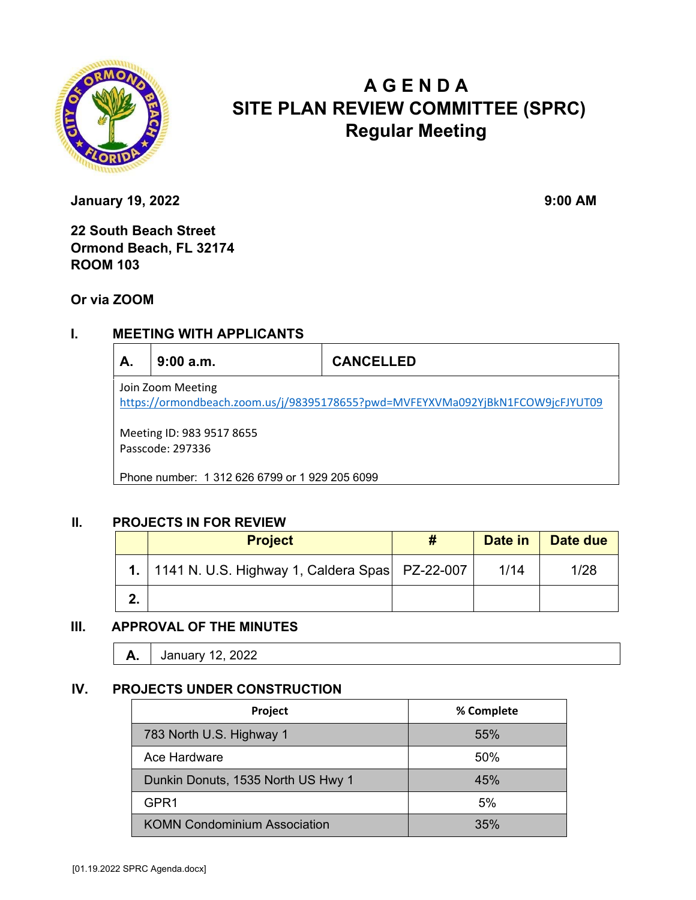

# **A G E N D A SITE PLAN REVIEW COMMITTEE (SPRC) Regular Meeting**

**January 19, 2022** 9:00 AM

**22 South Beach Street Ormond Beach, FL 32174 ROOM 103** 

## **Or via ZOOM**

# **I. MEETING WITH APPLICANTS**

| А.                                                                                                  | 9:00a.m. | <b>CANCELLED</b> |  |  |
|-----------------------------------------------------------------------------------------------------|----------|------------------|--|--|
| Join Zoom Meeting<br>https://ormondbeach.zoom.us/j/98395178655?pwd=MVFEYXVMa092YjBkN1FCOW9jcFJYUT09 |          |                  |  |  |
| Meeting ID: 983 9517 8655<br>Passcode: 297336                                                       |          |                  |  |  |
| Phone number: 1 312 626 6799 or 1 929 205 6099                                                      |          |                  |  |  |

#### **II. PROJECTS IN FOR REVIEW**

| <b>Project</b>                                        | Date in | Date due |
|-------------------------------------------------------|---------|----------|
| 1.   1141 N. U.S. Highway 1, Caldera Spas   PZ-22-007 | 1/14    | 1/28     |
|                                                       |         |          |

## **III. APPROVAL OF THE MINUTES**

| <i>r</i> | 12, 2022<br>Januar |  |
|----------|--------------------|--|
|----------|--------------------|--|

#### **IV. PROJECTS UNDER CONSTRUCTION**

| Project                             | % Complete |
|-------------------------------------|------------|
| 783 North U.S. Highway 1            | 55%        |
| Ace Hardware                        | 50%        |
| Dunkin Donuts, 1535 North US Hwy 1  | 45%        |
| GPR <sub>1</sub>                    | 5%         |
| <b>KOMN Condominium Association</b> | 35%        |